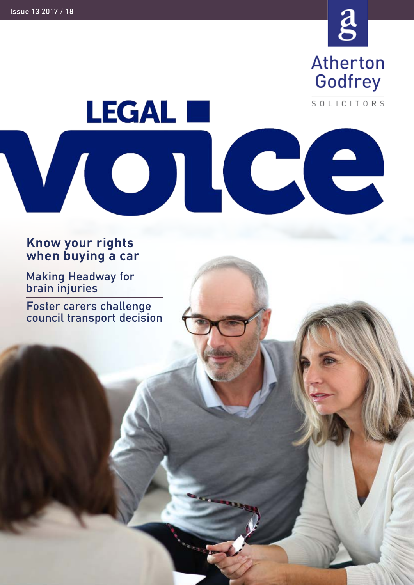

**Atherton** Godfrey

SOLICITORS

# **LEGAL E** VOI ICC

### **Know your rights when buying a car**

**Making Headway for brain injuries**

**Foster carers challenge council transport decision**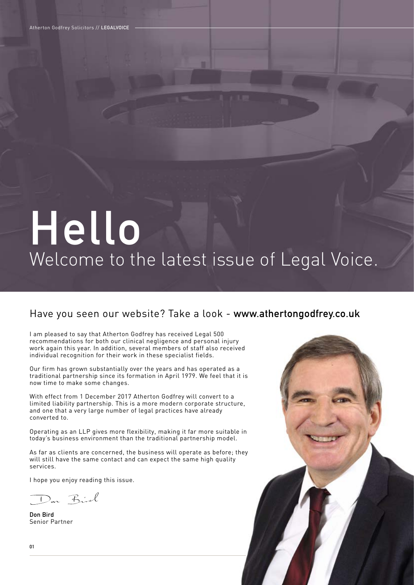Atherton Godfrey Solicitors // **LEGALVOICE**

# Welcome to the latest issue of Legal Voice. **Hello**

#### Have you seen our website? Take a look - **www.athertongodfrey.co.uk**

I am pleased to say that Atherton Godfrey has received Legal 500 recommendations for both our clinical negligence and personal injury work again this year. In addition, several members of staff also received individual recognition for their work in these specialist fields.

Our firm has grown substantially over the years and has operated as a traditional partnership since its formation in April 1979. We feel that it is now time to make some changes.

With effect from 1 December 2017 Atherton Godfrey will convert to a limited liability partnership. This is a more modern corporate structure, and one that a very large number of legal practices have already converted to.

Operating as an LLP gives more flexibility, making it far more suitable in today's business environment than the traditional partnership model.

As far as clients are concerned, the business will operate as before; they will still have the same contact and can expect the same high quality services.

I hope you enjoy reading this issue.

Don Birl

**Don Bird** Senior Partner

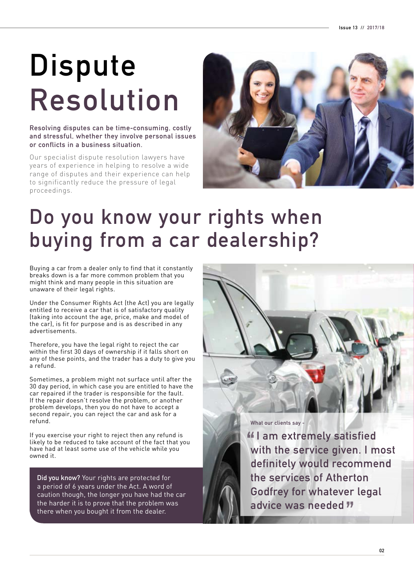# **Dispute Resolution**

**Resolving disputes can be time-consuming, costly and stressful, whether they involve personal issues or conflicts in a business situation.**

Our specialist dispute resolution lawyers have years of experience in helping to resolve a wide range of disputes and their experience can help to significantly reduce the pressure of legal proceedings.



## **Do you know your rights when buying from a car dealership?**

Buying a car from a dealer only to find that it constantly breaks down is a far more common problem that you might think and many people in this situation are unaware of their legal rights.

Under the Consumer Rights Act (the Act) you are legally entitled to receive a car that is of satisfactory quality (taking into account the age, price, make and model of the car), is fit for purpose and is as described in any advertisements.

Therefore, you have the legal right to reject the car within the first 30 days of ownership if it falls short on any of these points, and the trader has a duty to give you a refund.

Sometimes, a problem might not surface until after the 30 day period, in which case you are entitled to have the car repaired if the trader is responsible for the fault. If the repair doesn't resolve the problem, or another problem develops, then you do not have to accept a second repair, you can reject the car and ask for a refund.

If you exercise your right to reject then any refund is likely to be reduced to take account of the fact that you have had at least some use of the vehicle while you owned it.

**Did you know?** Your rights are protected for a period of 6 years under the Act. A word of caution though, the longer you have had the car the harder it is to prove that the problem was there when you bought it from the dealer.

**What our clients say -**

*II* am extremely satisfied **with the service given. I most definitely would recommend the services of Atherton Godfrey for whatever legal advice was needed**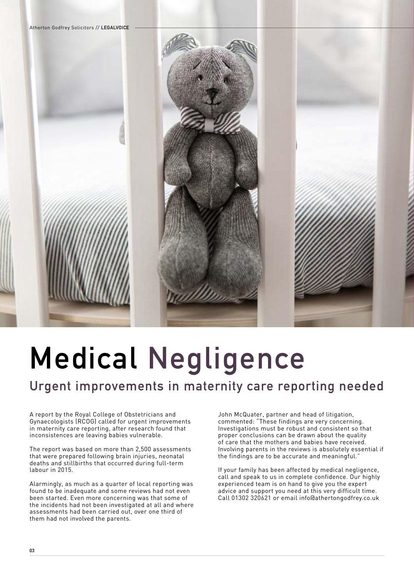

# **Medical Negligence**

### **Urgent improvements in maternity care reporting needed**

A report by the Royal College of Obstetricians and Gynaecologists (RCOG) called for urgent improvements in maternity care reporting, after research found that inconsistences are leaving babies vulnerable.

The report was based on more than 2,500 assessments that were prepared following brain injuries, neonatal deaths and stillbirths that occurred during full-term labour in 2015.

Alarmingly, as much as a quarter of local reporting was found to be inadequate and some reviews had not even been started. Even more concerning was that some of the incidents had not been investigated at all and where assessments had been carried out, over one third of them had not involved the parents.

John McQuater, partner and head of litigation, commented: "These findings are very concerning. Investigations must be robust and consistent so that proper conclusions can be drawn about the quality of care that the mothers and babies have received. Involving parents in the reviews is absolutely essential if the findings are to be accurate and meaningful."

If your family has been affected by medical negligence, call and speak to us in complete confidence. Our highly experienced team is on hand to give you the expert advice and support you need at this very difficult time. Call 01302 320621 or email info@athertongodfrey.co.uk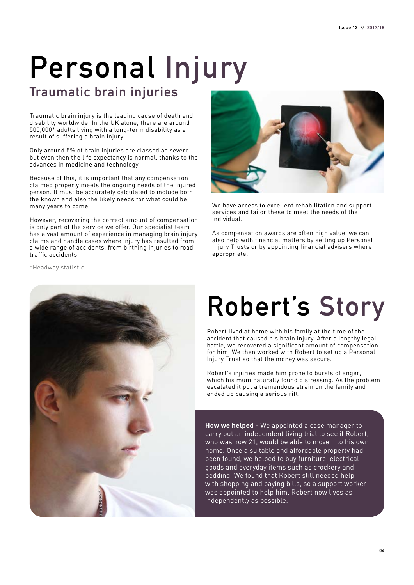# **Personal Injury**

### **Traumatic brain injuries**

Traumatic brain injury is the leading cause of death and disability worldwide. In the UK alone, there are around 500,000\* adults living with a long-term disability as a result of suffering a brain injury.

Only around 5% of brain injuries are classed as severe but even then the life expectancy is normal, thanks to the advances in medicine and technology.

Because of this, it is important that any compensation claimed properly meets the ongoing needs of the injured person. It must be accurately calculated to include both the known and also the likely needs for what could be many years to come.

However, recovering the correct amount of compensation is only part of the service we offer. Our specialist team has a vast amount of experience in managing brain injury claims and handle cases where injury has resulted from a wide range of accidents, from birthing injuries to road traffic accidents.

\*Headway statistic





We have access to excellent rehabilitation and support services and tailor these to meet the needs of the individual.

As compensation awards are often high value, we can also help with financial matters by setting up Personal Injury Trusts or by appointing financial advisers where appropriate.

## **Robert's Story**

Robert lived at home with his family at the time of the accident that caused his brain injury. After a lengthy legal battle, we recovered a significant amount of compensation for him. We then worked with Robert to set up a Personal Injury Trust so that the money was secure.

Robert's injuries made him prone to bursts of anger, which his mum naturally found distressing. As the problem escalated it put a tremendous strain on the family and ended up causing a serious rift.

**How we helped** - We appointed a case manager to carry out an independent living trial to see if Robert, who was now 21, would be able to move into his own home. Once a suitable and affordable property had been found, we helped to buy furniture, electrical goods and everyday items such as crockery and bedding. We found that Robert still needed help with shopping and paying bills, so a support worker was appointed to help him. Robert now lives as independently as possible.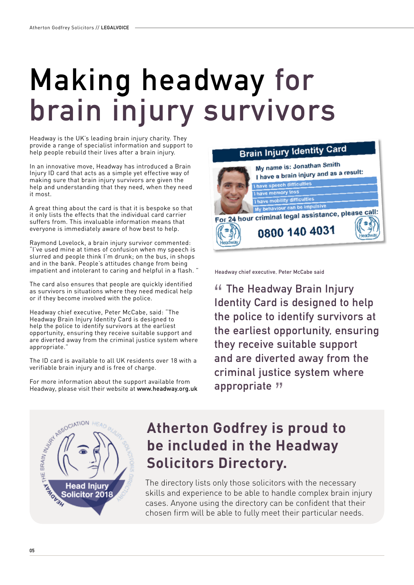# **Making headway for brain injury survivors**

Headway is the UK's leading brain injury charity. They provide a range of specialist information and support to help people rebuild their lives after a brain injury.

In an innovative move, Headway has introduced a Brain Injury ID card that acts as a simple yet effective way of making sure that brain injury survivors are given the help and understanding that they need, when they need it most.

A great thing about the card is that it is bespoke so that it only lists the effects that the individual card carrier suffers from. This invaluable information means that everyone is immediately aware of how best to help.

Raymond Lovelock, a brain injury survivor commented: "I've used mine at times of confusion when my speech is slurred and people think I'm drunk; on the bus, in shops and in the bank. People's attitudes change from being impatient and intolerant to caring and helpful in a flash. "

The card also ensures that people are quickly identified as survivors in situations where they need medical help or if they become involved with the police.

Headway chief executive, Peter McCabe, said: "The Headway Brain Injury Identity Card is designed to help the police to identify survivors at the earliest opportunity, ensuring they receive suitable support and are diverted away from the criminal justice system where appropriate."

The ID card is available to all UK residents over 18 with a verifiable brain injury and is free of charge.

For more information about the support available from Headway, please visit their website at www.headway.org.uk



**Headway chief executive, Peter McCabe said**

 **The Headway Brain Injury Identity Card is designed to help the police to identify survivors at the earliest opportunity, ensuring they receive suitable support and are diverted away from the criminal justice system where appropriate**



### **Atherton Godfrey is proud to be included in the Headway Solicitors Directory.**

The directory lists only those solicitors with the necessary skills and experience to be able to handle complex brain injury cases. Anyone using the directory can be confident that their chosen firm will be able to fully meet their particular needs.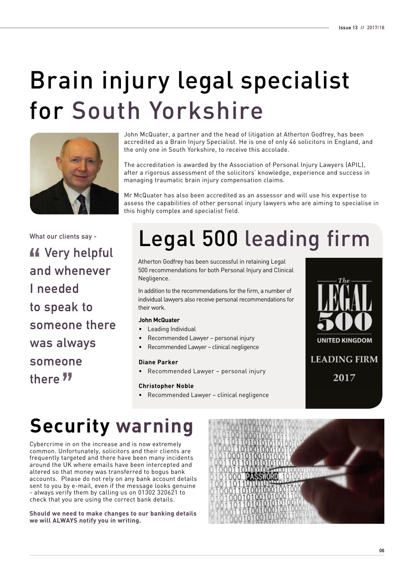## Brain injury legal specialist for South Yorkshire



John McQuater, a partner and the head of litigation at Atherton Godfrey, has been accredited as a Brain Injury Specialist. He is one of only 46 solicitors in England, and the only one in South Yorkshire, to receive this accolade.

The accreditation is awarded by the Association of Personal Injury Lawyers (APIL), after a rigorous assessment of the solicitors' knowledge, experience and success in managing traumatic brain injury compensation claims.

Mr McQuater has also been accredited as an assessor and will use his expertise to assess the capabilities of other personal injury lawyers who are aiming to specialise in this highly complex and specialist field.

**What our clients say -**

*K* Very helpful **and whenever I needed to speak to someone there was always someone there**

## Legal 500 leading firm

Atherton Godfrey has been successful in retaining Legal 500 recommendations for both Personal Injury and Clinical Negligence.

In addition to the recommendations for the firm, a number of individual lawyers also receive personal recommendations for their work.

#### **John McQuater**

- Leading Individual
- Recommended Lawyer personal injury
- Recommended Lawyer clinical negligence

#### **Diane Parker**

• Recommended Lawyer – personal injury

#### **Christopher Noble**

• Recommended Lawyer – clinical negligence



## **Security warning**

Cybercrime in on the increase and is now extremely common. Unfortunately, solicitors and their clients are frequently targeted and there have been many incidents around the UK where emails have been intercepted and altered so that money was transferred to bogus bank accounts. Please do not rely on any bank account details sent to you by e-mail, even if the message looks genuine - always verify them by calling us on 01302 320621 to check that you are using the correct bank details.

**Should we need to make changes to our banking details we will ALWAYS notify you in writing.**

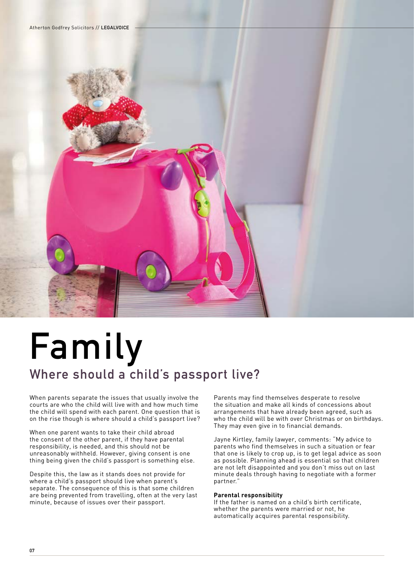

## **Family Where should a child's passport live?**

When parents separate the issues that usually involve the courts are who the child will live with and how much time the child will spend with each parent. One question that is on the rise though is where should a child's passport live?

When one parent wants to take their child abroad the consent of the other parent, if they have parental responsibility, is needed, and this should not be unreasonably withheld. However, giving consent is one thing being given the child's passport is something else.

Despite this, the law as it stands does not provide for where a child's passport should live when parent's separate. The consequence of this is that some children are being prevented from travelling, often at the very last minute, because of issues over their passport.

Parents may find themselves desperate to resolve the situation and make all kinds of concessions about arrangements that have already been agreed, such as who the child will be with over Christmas or on birthdays. They may even give in to financial demands.

Jayne Kirtley, family lawyer, comments: "My advice to parents who find themselves in such a situation or fear that one is likely to crop up, is to get legal advice as soon as possible. Planning ahead is essential so that children are not left disappointed and you don't miss out on last minute deals through having to negotiate with a former partner."

#### **Parental responsibility**

If the father is named on a child's birth certificate, whether the parents were married or not, he automatically acquires parental responsibility.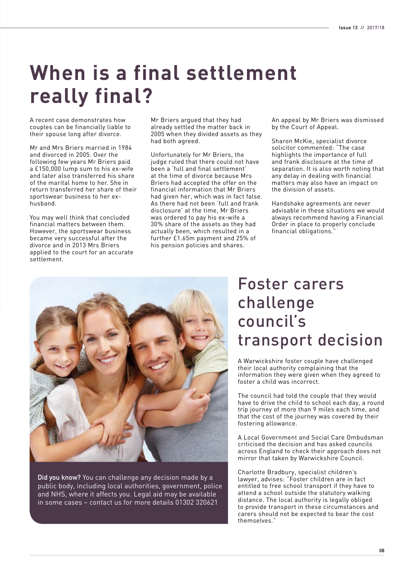## **When is a final settlement really final?**

A recent case demonstrates how couples can be financially liable to their spouse long after divorce.

Mr and Mrs Briers married in 1984 and divorced in 2005. Over the following few years Mr Briers paid a £150,000 lump sum to his ex-wife and later also transferred his share of the marital home to her. She in return transferred her share of their sportswear business to her exhusband.

You may well think that concluded financial matters between them. However, the sportswear business became very successful after the divorce and in 2013 Mrs Briers applied to the court for an accurate settlement.

Mr Briers argued that they had already settled the matter back in 2005 when they divided assets as they had both agreed.

Unfortunately for Mr Briers, the judge ruled that there could not have been a 'full and final settlement' at the time of divorce because Mrs Briers had accepted the offer on the financial information that Mr Briers had given her, which was in fact false. As there had not been 'full and frank disclosure' at the time, Mr Briers was ordered to pay his ex-wife a 30% share of the assets as they had actually been, which resulted in a further £1.65m payment and 25% of his pension policies and shares.

An appeal by Mr Briers was dismissed by the Court of Appeal.

Sharon McKie, specialist divorce solicitor commented: "The case highlights the importance of full and frank disclosure at the time of separation. It is also worth noting that any delay in dealing with financial matters may also have an impact on the division of assets.

Handshake agreements are never advisable in these situations we would always recommend having a Financial Order in place to properly conclude financial obligations."



**Did you know?** You can challenge any decision made by a public body, including local authorities, government, police and NHS, where it affects you. Legal aid may be available in some cases – contact us for more details 01302 320621

### Foster carers challenge council's transport decision

A Warwickshire foster couple have challenged their local authority complaining that the information they were given when they agreed to foster a child was incorrect.

The council had told the couple that they would have to drive the child to school each day, a round trip journey of more than 9 miles each time, and that the cost of the journey was covered by their fostering allowance.

A Local Government and Social Care Ombudsman criticised the decision and has asked councils across England to check their approach does not mirror that taken by Warwickshire Council.

Charlotte Bradbury, specialist children's lawyer, advises: "Foster children are in fact entitled to free school transport if they have to attend a school outside the statutory walking distance. The local authority is legally obliged to provide transport in these circumstances and carers should not be expected to bear the cost themselves."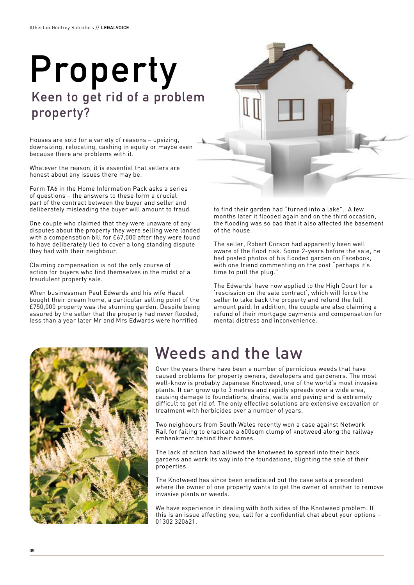## **Property Keen to get rid of a problem property?**

Houses are sold for a variety of reasons – upsizing, downsizing, relocating, cashing in equity or maybe even because there are problems with it.

Whatever the reason, it is essential that sellers are honest about any issues there may be.

Form TA6 in the Home Information Pack asks a series of questions – the answers to these form a crucial part of the contract between the buyer and seller and deliberately misleading the buyer will amount to fraud.

One couple who claimed that they were unaware of any disputes about the property they were selling were landed with a compensation bill for £67,000 after they were found to have deliberately lied to cover a long standing dispute they had with their neighbour.

Claiming compensation is not the only course of action for buyers who find themselves in the midst of a fraudulent property sale.

When businessman Paul Edwards and his wife Hazel bought their dream home, a particular selling point of the £750,000 property was the stunning garden. Despite being assured by the seller that the property had never flooded, less than a year later Mr and Mrs Edwards were horrified

to find their garden had "turned into a lake". A few months later it flooded again and on the third occasion, the flooding was so bad that it also affected the basement of the house.

The seller, Robert Corson had apparently been well aware of the flood risk. Some 2-years before the sale, he had posted photos of his flooded garden on Facebook, with one friend commenting on the post "perhaps it's time to pull the plug."

The Edwards' have now applied to the High Court for a 'rescission on the sale contract', which will force the seller to take back the property and refund the full amount paid. In addition, the couple are also claiming a refund of their mortgage payments and compensation for mental distress and inconvenience.



### Weeds and the law

Over the years there have been a number of pernicious weeds that have caused problems for property owners, developers and gardeners. The most well-know is probably Japanese Knotweed, one of the world's most invasive plants. It can grow up to 3 metres and rapidly spreads over a wide area, causing damage to foundations, drains, walls and paving and is extremely difficult to get rid of. The only effective solutions are extensive excavation or treatment with herbicides over a number of years.

Two neighbours from South Wales recently won a case against Network Rail for failing to eradicate a 600sqm clump of knotweed along the railway embankment behind their homes.

The lack of action had allowed the knotweed to spread into their back gardens and work its way into the foundations, blighting the sale of their properties.

The Knotweed has since been eradicated but the case sets a precedent where the owner of one property wants to get the owner of another to remove invasive plants or weeds.

We have experience in dealing with both sides of the Knotweed problem. If this is an issue affecting you, call for a confidential chat about your options – 01302 320621.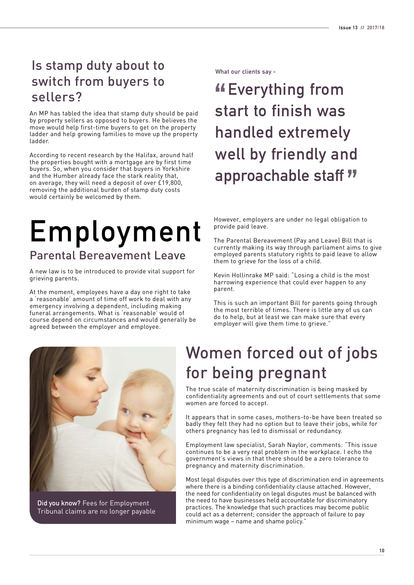### Is stamp duty about to switch from buyers to sellers?

An MP has tabled the idea that stamp duty should be paid by property sellers as opposed to buyers. He believes the move would help first-time buyers to get on the property ladder and help growing families to move up the property ladder.

According to recent research by the Halifax, around half the properties bought with a mortgage are by first time buyers. So, when you consider that buyers in Yorkshire and the Humber already face the stark reality that, on average, they will need a deposit of over £19,800, removing the additional burden of stamp duty costs would certainly be welcomed by them.

### **Employment** Parental Bereavement Leave

A new law is to be introduced to provide vital support for grieving parents.

At the moment, employees have a day one right to take a 'reasonable' amount of time off work to deal with any emergency involving a dependent, including making funeral arrangements. What is 'reasonable' would of course depend on circumstances and would generally be agreed between the employer and employee.

**What our clients say -**

### **Everything from start to finish was handled extremely well by friendly and approachable staff**

However, employers are under no legal obligation to provide paid leave.

The Parental Bereavement (Pay and Leave) Bill that is currently making its way through parliament aims to give employed parents statutory rights to paid leave to allow them to grieve for the loss of a child.

Kevin Hollinrake MP said: "Losing a child is the most harrowing experience that could ever happen to any parent.

This is such an important Bill for parents going through the most terrible of times. There is little any of us can do to help, but at least we can make sure that every employer will give them time to grieve.



**Did you know?** Fees for Employment Tribunal claims are no longer payable

### Women forced out of jobs for being pregnant

The true scale of maternity discrimination is being masked by confidentiality agreements and out of court settlements that some women are forced to accept.

It appears that in some cases, mothers-to-be have been treated so badly they felt they had no option but to leave their jobs, while for others pregnancy has led to dismissal or redundancy.

Employment law specialist, Sarah Naylor, comments: "This issue continues to be a very real problem in the workplace. I echo the government's views in that there should be a zero tolerance to pregnancy and maternity discrimination.

Most legal disputes over this type of discrimination end in agreements where there is a binding confidentiality clause attached. However, the need for confidentiality on legal disputes must be balanced with the need to have businesses held accountable for discriminatory practices. The knowledge that such practices may become public could act as a deterrent; consider the approach of failure to pay minimum wage – name and shame policy."